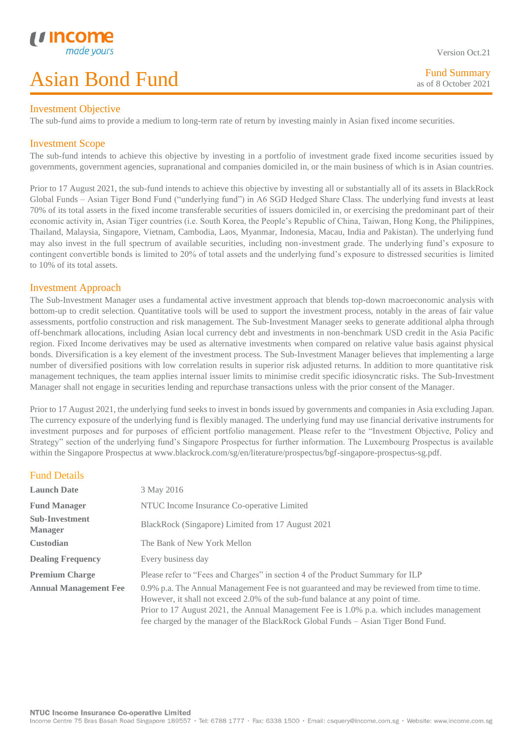#### Investment Objective

The sub-fund aims to provide a medium to long-term rate of return by investing mainly in Asian fixed income securities.

#### Investment Scope

L

The sub-fund intends to achieve this objective by investing in a portfolio of investment grade fixed income securities issued by governments, government agencies, supranational and companies domiciled in, or the main business of which is in Asian countries.

Prior to 17 August 2021, the sub-fund intends to achieve this objective by investing all or substantially all of its assets in BlackRock Global Funds – Asian Tiger Bond Fund ("underlying fund") in A6 SGD Hedged Share Class. The underlying fund invests at least 70% of its total assets in the fixed income transferable securities of issuers domiciled in, or exercising the predominant part of their economic activity in, Asian Tiger countries (i.e. South Korea, the People's Republic of China, Taiwan, Hong Kong, the Philippines, Thailand, Malaysia, Singapore, Vietnam, Cambodia, Laos, Myanmar, Indonesia, Macau, India and Pakistan). The underlying fund may also invest in the full spectrum of available securities, including non-investment grade. The underlying fund's exposure to contingent convertible bonds is limited to 20% of total assets and the underlying fund's exposure to distressed securities is limited to 10% of its total assets.

#### Investment Approach

The Sub-Investment Manager uses a fundamental active investment approach that blends top-down macroeconomic analysis with bottom-up to credit selection. Quantitative tools will be used to support the investment process, notably in the areas of fair value assessments, portfolio construction and risk management. The Sub-Investment Manager seeks to generate additional alpha through off-benchmark allocations, including Asian local currency debt and investments in non-benchmark USD credit in the Asia Pacific region. Fixed Income derivatives may be used as alternative investments when compared on relative value basis against physical bonds. Diversification is a key element of the investment process. The Sub-Investment Manager believes that implementing a large number of diversified positions with low correlation results in superior risk adjusted returns. In addition to more quantitative risk management techniques, the team applies internal issuer limits to minimise credit specific idiosyncratic risks. The Sub-Investment Manager shall not engage in securities lending and repurchase transactions unless with the prior consent of the Manager.

Prior to 17 August 2021, the underlying fund seeks to invest in bonds issued by governments and companies in Asia excluding Japan. The currency exposure of the underlying fund is flexibly managed. The underlying fund may use financial derivative instruments for investment purposes and for purposes of efficient portfolio management. Please refer to the "Investment Objective, Policy and Strategy" section of the underlying fund's Singapore Prospectus for further information. The Luxembourg Prospectus is available within the Singapore Prospectus at www.blackrock.com/sg/en/literature/prospectus/bgf-singapore-prospectus-sg.pdf.

### Fund Details

| <b>Launch Date</b>                      | 3 May 2016                                                                                                                                                                                                                                                                                                                                                        |
|-----------------------------------------|-------------------------------------------------------------------------------------------------------------------------------------------------------------------------------------------------------------------------------------------------------------------------------------------------------------------------------------------------------------------|
| <b>Fund Manager</b>                     | NTUC Income Insurance Co-operative Limited                                                                                                                                                                                                                                                                                                                        |
| <b>Sub-Investment</b><br><b>Manager</b> | BlackRock (Singapore) Limited from 17 August 2021                                                                                                                                                                                                                                                                                                                 |
| <b>Custodian</b>                        | The Bank of New York Mellon                                                                                                                                                                                                                                                                                                                                       |
| <b>Dealing Frequency</b>                | Every business day                                                                                                                                                                                                                                                                                                                                                |
| <b>Premium Charge</b>                   | Please refer to "Fees and Charges" in section 4 of the Product Summary for ILP                                                                                                                                                                                                                                                                                    |
| <b>Annual Management Fee</b>            | 0.9% p.a. The Annual Management Fee is not guaranteed and may be reviewed from time to time.<br>However, it shall not exceed 2.0% of the sub-fund balance at any point of time.<br>Prior to 17 August 2021, the Annual Management Fee is 1.0% p.a. which includes management<br>fee charged by the manager of the BlackRock Global Funds – Asian Tiger Bond Fund. |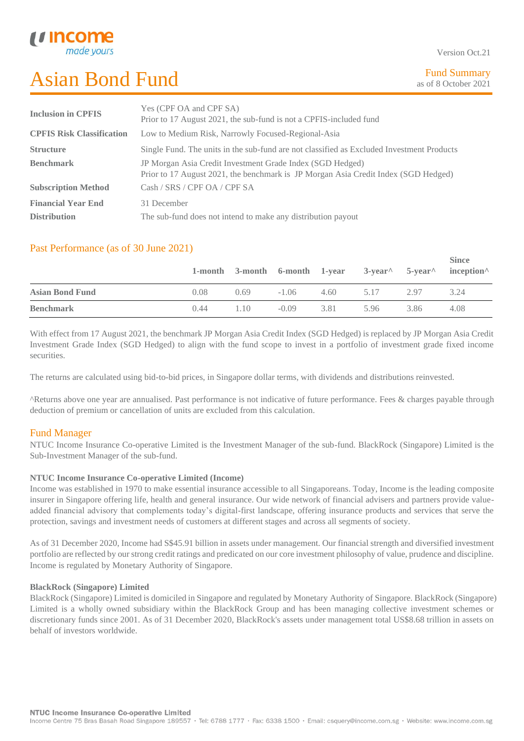Version Oct.21

| <b>Inclusion in CPFIS</b>        | Yes (CPF OA and CPF SA)                                                                   |
|----------------------------------|-------------------------------------------------------------------------------------------|
|                                  | Prior to 17 August 2021, the sub-fund is not a CPFIS-included fund                        |
| <b>CPFIS Risk Classification</b> | Low to Medium Risk, Narrowly Focused-Regional-Asia                                        |
| <b>Structure</b>                 | Single Fund. The units in the sub-fund are not classified as Excluded Investment Products |
| <b>Benchmark</b>                 | JP Morgan Asia Credit Investment Grade Index (SGD Hedged)                                 |
|                                  | Prior to 17 August 2021, the benchmark is JP Morgan Asia Credit Index (SGD Hedged)        |
| <b>Subscription Method</b>       | Cash / SRS / CPF OA / CPF SA                                                              |
| <b>Financial Year End</b>        | 31 December                                                                               |
| <b>Distribution</b>              | The sub-fund does not intend to make any distribution payout                              |

# Past Performance (as of 30 June 2021)

|                        |      |      |         |      |           |      | <b>Since</b><br>1-month 3-month 6-month 1-year 3-year 5-year inception |
|------------------------|------|------|---------|------|-----------|------|------------------------------------------------------------------------|
| <b>Asian Bond Fund</b> | 0.08 | 0.69 | $-1.06$ |      | 4.60 5.17 | 2.97 | 3.24                                                                   |
| <b>Benchmark</b>       | 0.44 | 1.10 | $-0.09$ | 3.81 | 5.96      | 3.86 | 4.08                                                                   |

With effect from 17 August 2021, the benchmark JP Morgan Asia Credit Index (SGD Hedged) is replaced by JP Morgan Asia Credit Investment Grade Index (SGD Hedged) to align with the fund scope to invest in a portfolio of investment grade fixed income securities.

The returns are calculated using bid-to-bid prices, in Singapore dollar terms, with dividends and distributions reinvested.

^Returns above one year are annualised. Past performance is not indicative of future performance. Fees & charges payable through deduction of premium or cancellation of units are excluded from this calculation.

# Fund Manager

NTUC Income Insurance Co-operative Limited is the Investment Manager of the sub-fund. BlackRock (Singapore) Limited is the Sub-Investment Manager of the sub-fund.

#### **NTUC Income Insurance Co-operative Limited (Income)**

Income was established in 1970 to make essential insurance accessible to all Singaporeans. Today, Income is the leading composite insurer in Singapore offering life, health and general insurance. Our wide network of financial advisers and partners provide valueadded financial advisory that complements today's digital-first landscape, offering insurance products and services that serve the protection, savings and investment needs of customers at different stages and across all segments of society.

As of 31 December 2020, Income had S\$45.91 billion in assets under management. Our financial strength and diversified investment portfolio are reflected by our strong credit ratings and predicated on our core investment philosophy of value, prudence and discipline. Income is regulated by Monetary Authority of Singapore.

#### **BlackRock (Singapore) Limited**

BlackRock (Singapore) Limited is domiciled in Singapore and regulated by Monetary Authority of Singapore. BlackRock (Singapore) Limited is a wholly owned subsidiary within the BlackRock Group and has been managing collective investment schemes or discretionary funds since 2001. As of 31 December 2020, BlackRock's assets under management total US\$8.68 trillion in assets on behalf of investors worldwide.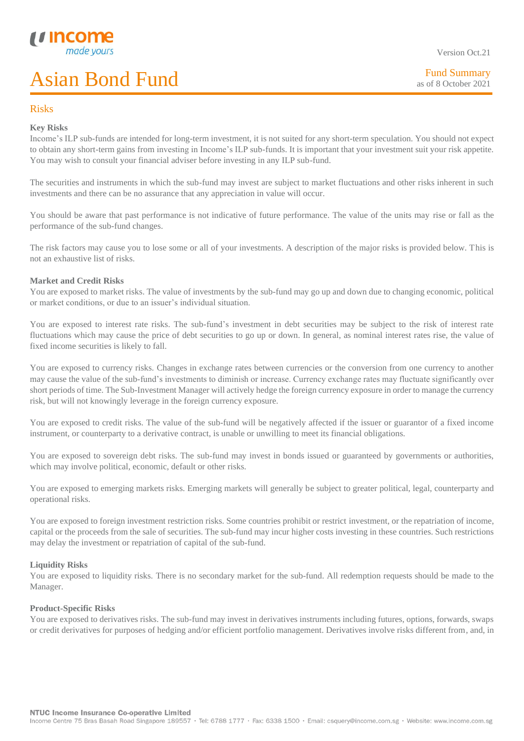

Version Oct.21

#### Risks

L

#### **Key Risks**

Income's ILP sub-funds are intended for long-term investment, it is not suited for any short-term speculation. You should not expect to obtain any short-term gains from investing in Income's ILP sub-funds. It is important that your investment suit your risk appetite. You may wish to consult your financial adviser before investing in any ILP sub-fund.

The securities and instruments in which the sub-fund may invest are subject to market fluctuations and other risks inherent in such investments and there can be no assurance that any appreciation in value will occur.

You should be aware that past performance is not indicative of future performance. The value of the units may rise or fall as the performance of the sub-fund changes.

The risk factors may cause you to lose some or all of your investments. A description of the major risks is provided below. This is not an exhaustive list of risks.

#### **Market and Credit Risks**

You are exposed to market risks. The value of investments by the sub-fund may go up and down due to changing economic, political or market conditions, or due to an issuer's individual situation.

You are exposed to interest rate risks. The sub-fund's investment in debt securities may be subject to the risk of interest rate fluctuations which may cause the price of debt securities to go up or down. In general, as nominal interest rates rise, the value of fixed income securities is likely to fall.

You are exposed to currency risks. Changes in exchange rates between currencies or the conversion from one currency to another may cause the value of the sub-fund's investments to diminish or increase. Currency exchange rates may fluctuate significantly over short periods of time. The Sub-Investment Manager will actively hedge the foreign currency exposure in order to manage the currency risk, but will not knowingly leverage in the foreign currency exposure.

You are exposed to credit risks. The value of the sub-fund will be negatively affected if the issuer or guarantor of a fixed income instrument, or counterparty to a derivative contract, is unable or unwilling to meet its financial obligations.

You are exposed to sovereign debt risks. The sub-fund may invest in bonds issued or guaranteed by governments or authorities, which may involve political, economic, default or other risks.

You are exposed to emerging markets risks. Emerging markets will generally be subject to greater political, legal, counterparty and operational risks.

You are exposed to foreign investment restriction risks. Some countries prohibit or restrict investment, or the repatriation of income, capital or the proceeds from the sale of securities. The sub-fund may incur higher costs investing in these countries. Such restrictions may delay the investment or repatriation of capital of the sub-fund.

#### **Liquidity Risks**

You are exposed to liquidity risks. There is no secondary market for the sub-fund. All redemption requests should be made to the Manager.

#### **Product-Specific Risks**

You are exposed to derivatives risks. The sub-fund may invest in derivatives instruments including futures, options, forwards, swaps or credit derivatives for purposes of hedging and/or efficient portfolio management. Derivatives involve risks different from, and, in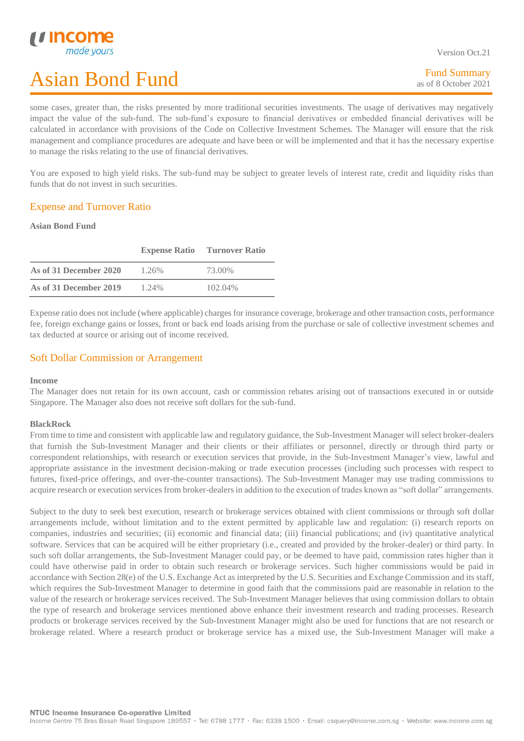some cases, greater than, the risks presented by more traditional securities investments. The usage of derivatives may negatively impact the value of the sub-fund. The sub-fund's exposure to financial derivatives or embedded financial derivatives will be calculated in accordance with provisions of the Code on Collective Investment Schemes. The Manager will ensure that the risk management and compliance procedures are adequate and have been or will be implemented and that it has the necessary expertise to manage the risks relating to the use of financial derivatives.

You are exposed to high yield risks. The sub-fund may be subject to greater levels of interest rate, credit and liquidity risks than funds that do not invest in such securities.

### Expense and Turnover Ratio

#### **Asian Bond Fund**

L

|                        | <b>Expense Ratio</b> | <b>Turnover Ratio</b> |
|------------------------|----------------------|-----------------------|
| As of 31 December 2020 | 1.26%                | 73.00%                |
| As of 31 December 2019 | 1.24%                | 102.04%               |

Expense ratio does not include (where applicable) charges for insurance coverage, brokerage and other transaction costs, performance fee, foreign exchange gains or losses, front or back end loads arising from the purchase or sale of collective investment schemes and tax deducted at source or arising out of income received.

### Soft Dollar Commission or Arrangement

#### **Income**

The Manager does not retain for its own account, cash or commission rebates arising out of transactions executed in or outside Singapore. The Manager also does not receive soft dollars for the sub-fund.

#### **BlackRock**

From time to time and consistent with applicable law and regulatory guidance, the Sub-Investment Manager will select broker-dealers that furnish the Sub-Investment Manager and their clients or their affiliates or personnel, directly or through third party or correspondent relationships, with research or execution services that provide, in the Sub-Investment Manager's view, lawful and appropriate assistance in the investment decision-making or trade execution processes (including such processes with respect to futures, fixed-price offerings, and over-the-counter transactions). The Sub-Investment Manager may use trading commissions to acquire research or execution services from broker-dealers in addition to the execution of trades known as "soft dollar" arrangements.

Subject to the duty to seek best execution, research or brokerage services obtained with client commissions or through soft dollar arrangements include, without limitation and to the extent permitted by applicable law and regulation: (i) research reports on companies, industries and securities; (ii) economic and financial data; (iii) financial publications; and (iv) quantitative analytical software. Services that can be acquired will be either proprietary (i.e., created and provided by the broker-dealer) or third party. In such soft dollar arrangements, the Sub-Investment Manager could pay, or be deemed to have paid, commission rates higher than it could have otherwise paid in order to obtain such research or brokerage services. Such higher commissions would be paid in accordance with Section 28(e) of the U.S. Exchange Act as interpreted by the U.S. Securities and Exchange Commission and its staff, which requires the Sub-Investment Manager to determine in good faith that the commissions paid are reasonable in relation to the value of the research or brokerage services received. The Sub-Investment Manager believes that using commission dollars to obtain the type of research and brokerage services mentioned above enhance their investment research and trading processes. Research products or brokerage services received by the Sub-Investment Manager might also be used for functions that are not research or brokerage related. Where a research product or brokerage service has a mixed use, the Sub-Investment Manager will make a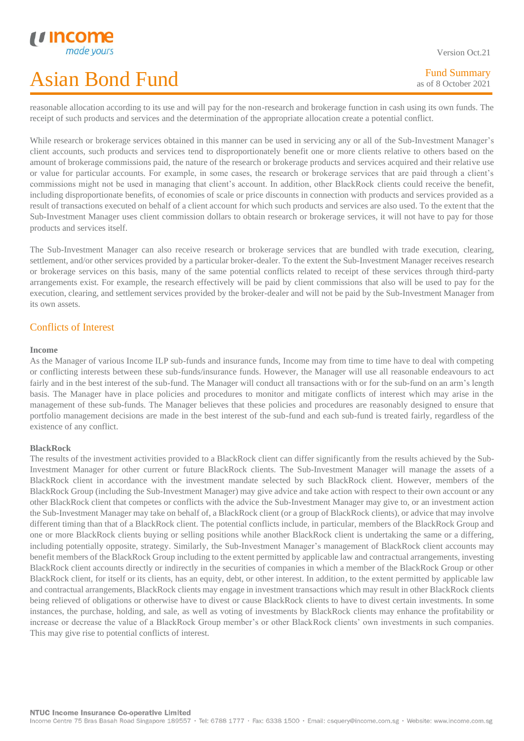Version Oct.21

reasonable allocation according to its use and will pay for the non-research and brokerage function in cash using its own funds. The receipt of such products and services and the determination of the appropriate allocation create a potential conflict.

While research or brokerage services obtained in this manner can be used in servicing any or all of the Sub-Investment Manager's client accounts, such products and services tend to disproportionately benefit one or more clients relative to others based on the amount of brokerage commissions paid, the nature of the research or brokerage products and services acquired and their relative use or value for particular accounts. For example, in some cases, the research or brokerage services that are paid through a client's commissions might not be used in managing that client's account. In addition, other BlackRock clients could receive the benefit, including disproportionate benefits, of economies of scale or price discounts in connection with products and services provided as a result of transactions executed on behalf of a client account for which such products and services are also used. To the extent that the Sub-Investment Manager uses client commission dollars to obtain research or brokerage services, it will not have to pay for those products and services itself.

The Sub-Investment Manager can also receive research or brokerage services that are bundled with trade execution, clearing, settlement, and/or other services provided by a particular broker-dealer. To the extent the Sub-Investment Manager receives research or brokerage services on this basis, many of the same potential conflicts related to receipt of these services through third-party arrangements exist. For example, the research effectively will be paid by client commissions that also will be used to pay for the execution, clearing, and settlement services provided by the broker-dealer and will not be paid by the Sub-Investment Manager from its own assets.

### Conflicts of Interest

#### **Income**

L

As the Manager of various Income ILP sub-funds and insurance funds, Income may from time to time have to deal with competing or conflicting interests between these sub-funds/insurance funds. However, the Manager will use all reasonable endeavours to act fairly and in the best interest of the sub-fund. The Manager will conduct all transactions with or for the sub-fund on an arm's length basis. The Manager have in place policies and procedures to monitor and mitigate conflicts of interest which may arise in the management of these sub-funds. The Manager believes that these policies and procedures are reasonably designed to ensure that portfolio management decisions are made in the best interest of the sub-fund and each sub-fund is treated fairly, regardless of the existence of any conflict.

#### **BlackRock**

The results of the investment activities provided to a BlackRock client can differ significantly from the results achieved by the Sub-Investment Manager for other current or future BlackRock clients. The Sub-Investment Manager will manage the assets of a BlackRock client in accordance with the investment mandate selected by such BlackRock client. However, members of the BlackRock Group (including the Sub-Investment Manager) may give advice and take action with respect to their own account or any other BlackRock client that competes or conflicts with the advice the Sub-Investment Manager may give to, or an investment action the Sub-Investment Manager may take on behalf of, a BlackRock client (or a group of BlackRock clients), or advice that may involve different timing than that of a BlackRock client. The potential conflicts include, in particular, members of the BlackRock Group and one or more BlackRock clients buying or selling positions while another BlackRock client is undertaking the same or a differing, including potentially opposite, strategy. Similarly, the Sub-Investment Manager's management of BlackRock client accounts may benefit members of the BlackRock Group including to the extent permitted by applicable law and contractual arrangements, investing BlackRock client accounts directly or indirectly in the securities of companies in which a member of the BlackRock Group or other BlackRock client, for itself or its clients, has an equity, debt, or other interest. In addition, to the extent permitted by applicable law and contractual arrangements, BlackRock clients may engage in investment transactions which may result in other BlackRock clients being relieved of obligations or otherwise have to divest or cause BlackRock clients to have to divest certain investments. In some instances, the purchase, holding, and sale, as well as voting of investments by BlackRock clients may enhance the profitability or increase or decrease the value of a BlackRock Group member's or other BlackRock clients' own investments in such companies. This may give rise to potential conflicts of interest.

Income Centre 75 Bras Basah Road Singapore 189557 · Tel: 6788 1777 · Fax: 6338 1500 · Email: csquery@income.com.sg · Website: www.income.com.sg